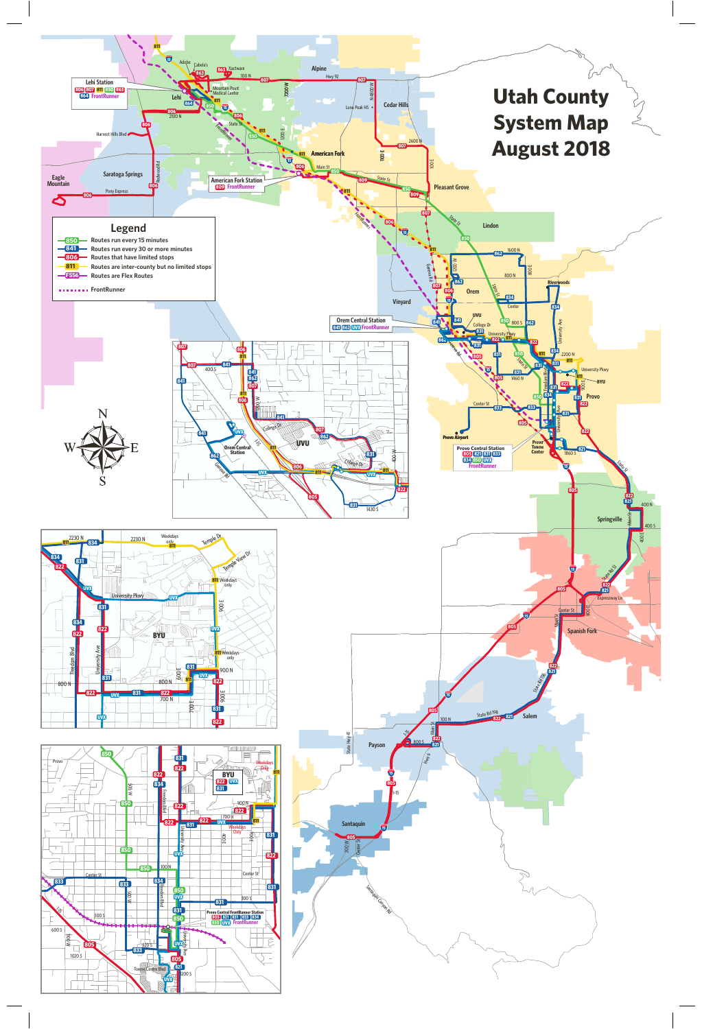